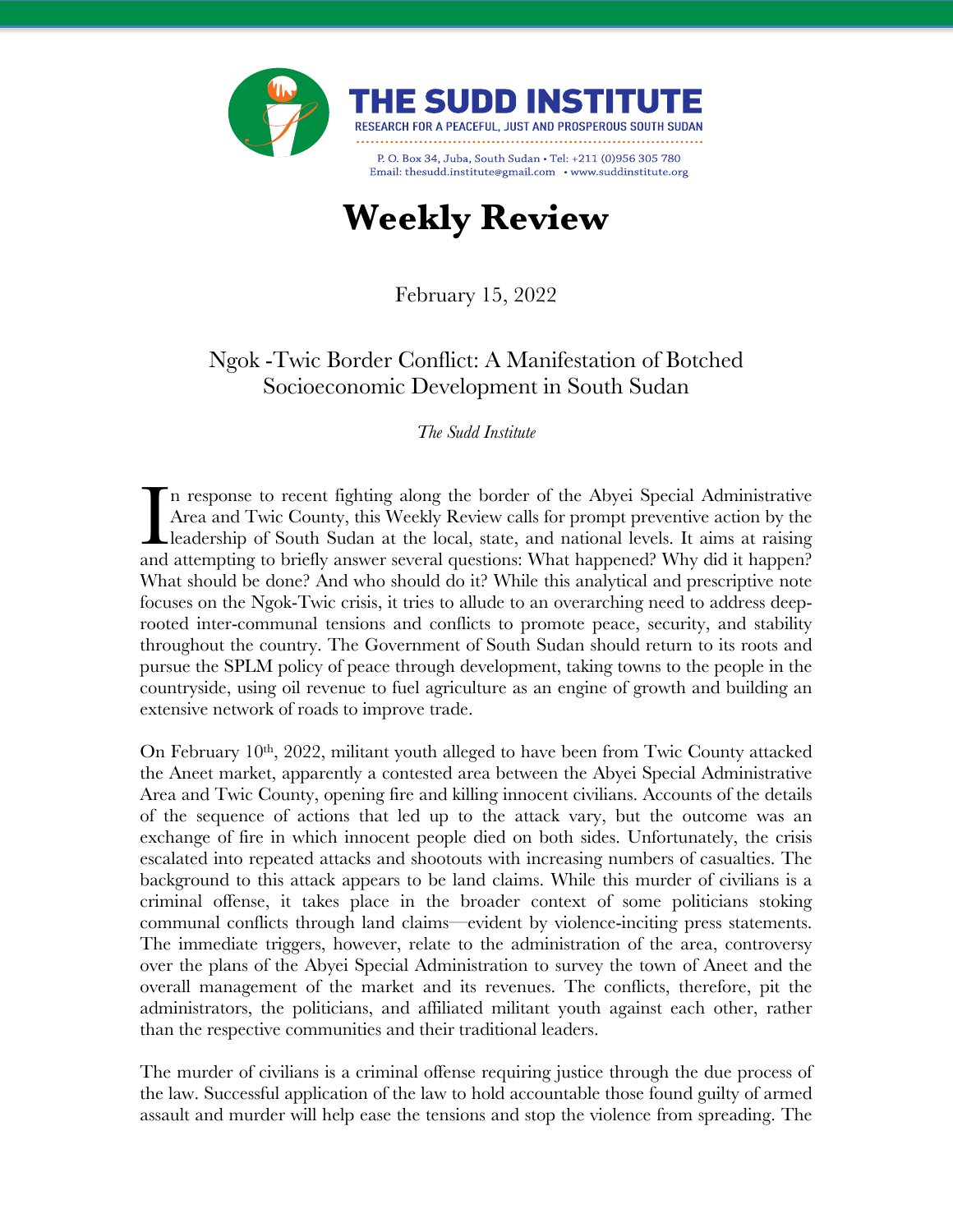

## **Weekly Review**

February 15, 2022

## Ngok -Twic Border Conflict: A Manifestation of Botched Socioeconomic Development in South Sudan

*The Sudd Institute*

n response to recent fighting along the border of the Abyei Special Administrative Area and Twic County, this Weekly Review calls for prompt preventive action by the leadership of South Sudan at the local, state, and national levels. It aims at raising In response to recent fighting along the border of the Abyei Special Administrative Area and Twic County, this Weekly Review calls for prompt preventive action by the leadership of South Sudan at the local, state, and nati What should be done? And who should do it? While this analytical and prescriptive note focuses on the Ngok-Twic crisis, it tries to allude to an overarching need to address deeprooted inter-communal tensions and conflicts to promote peace, security, and stability throughout the country. The Government of South Sudan should return to its roots and pursue the SPLM policy of peace through development, taking towns to the people in the countryside, using oil revenue to fuel agriculture as an engine of growth and building an extensive network of roads to improve trade.

On February 10<sup>th</sup>, 2022, militant youth alleged to have been from Twic County attacked the Aneet market, apparently a contested area between the Abyei Special Administrative Area and Twic County, opening fire and killing innocent civilians. Accounts of the details of the sequence of actions that led up to the attack vary, but the outcome was an exchange of fire in which innocent people died on both sides. Unfortunately, the crisis escalated into repeated attacks and shootouts with increasing numbers of casualties. The background to this attack appears to be land claims. While this murder of civilians is a criminal offense, it takes place in the broader context of some politicians stoking communal conflicts through land claims—evident by violence-inciting press statements. The immediate triggers, however, relate to the administration of the area, controversy over the plans of the Abyei Special Administration to survey the town of Aneet and the overall management of the market and its revenues. The conflicts, therefore, pit the administrators, the politicians, and affiliated militant youth against each other, rather than the respective communities and their traditional leaders.

The murder of civilians is a criminal offense requiring justice through the due process of the law. Successful application of the law to hold accountable those found guilty of armed assault and murder will help ease the tensions and stop the violence from spreading. The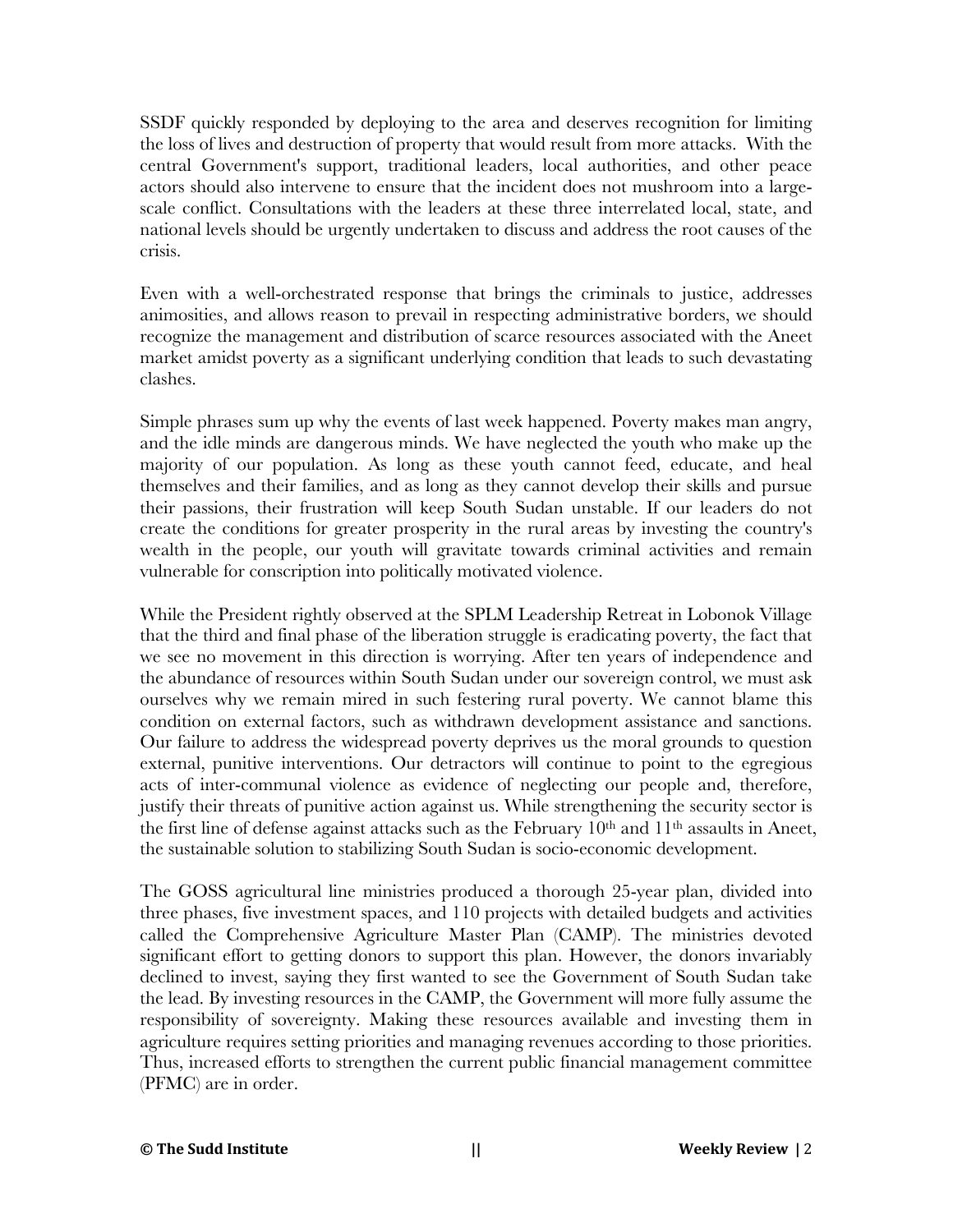SSDF quickly responded by deploying to the area and deserves recognition for limiting the loss of lives and destruction of property that would result from more attacks. With the central Government's support, traditional leaders, local authorities, and other peace actors should also intervene to ensure that the incident does not mushroom into a largescale conflict. Consultations with the leaders at these three interrelated local, state, and national levels should be urgently undertaken to discuss and address the root causes of the crisis.

Even with a well-orchestrated response that brings the criminals to justice, addresses animosities, and allows reason to prevail in respecting administrative borders, we should recognize the management and distribution of scarce resources associated with the Aneet market amidst poverty as a significant underlying condition that leads to such devastating clashes.

Simple phrases sum up why the events of last week happened. Poverty makes man angry, and the idle minds are dangerous minds. We have neglected the youth who make up the majority of our population. As long as these youth cannot feed, educate, and heal themselves and their families, and as long as they cannot develop their skills and pursue their passions, their frustration will keep South Sudan unstable. If our leaders do not create the conditions for greater prosperity in the rural areas by investing the country's wealth in the people, our youth will gravitate towards criminal activities and remain vulnerable for conscription into politically motivated violence.

While the President rightly observed at the SPLM Leadership Retreat in Lobonok Village that the third and final phase of the liberation struggle is eradicating poverty, the fact that we see no movement in this direction is worrying. After ten years of independence and the abundance of resources within South Sudan under our sovereign control, we must ask ourselves why we remain mired in such festering rural poverty. We cannot blame this condition on external factors, such as withdrawn development assistance and sanctions. Our failure to address the widespread poverty deprives us the moral grounds to question external, punitive interventions. Our detractors will continue to point to the egregious acts of inter-communal violence as evidence of neglecting our people and, therefore, justify their threats of punitive action against us. While strengthening the security sector is the first line of defense against attacks such as the February 10<sup>th</sup> and 11<sup>th</sup> assaults in Aneet, the sustainable solution to stabilizing South Sudan is socio-economic development.

The GOSS agricultural line ministries produced a thorough 25-year plan, divided into three phases, five investment spaces, and 110 projects with detailed budgets and activities called the Comprehensive Agriculture Master Plan (CAMP). The ministries devoted significant effort to getting donors to support this plan. However, the donors invariably declined to invest, saying they first wanted to see the Government of South Sudan take the lead. By investing resources in the CAMP, the Government will more fully assume the responsibility of sovereignty. Making these resources available and investing them in agriculture requires setting priorities and managing revenues according to those priorities. Thus, increased efforts to strengthen the current public financial management committee (PFMC) are in order.